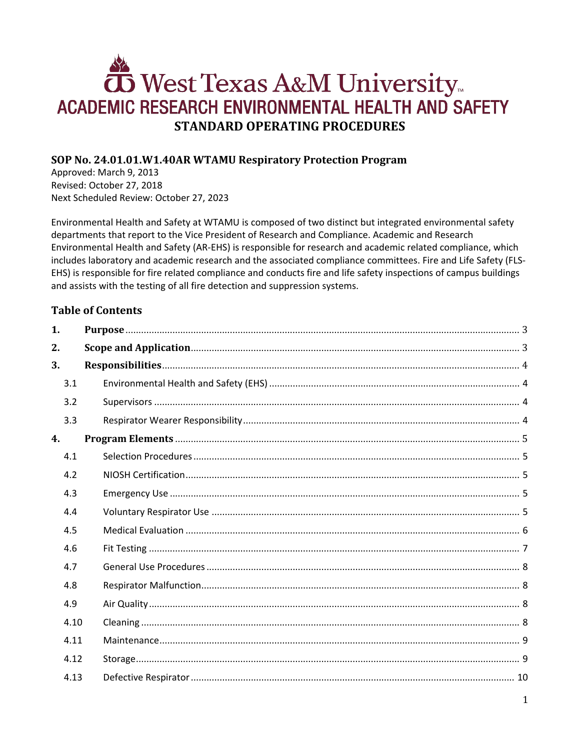# West Texas A&M University ACADEMIC RESEARCH ENVIRONMENTAL HEALTH AND SAFETY **STANDARD OPERATING PROCEDURES**

# SOP No. 24.01.01.W1.40AR WTAMU Respiratory Protection Program

Approved: March 9, 2013 Revised: October 27, 2018 Next Scheduled Review: October 27, 2023

Environmental Health and Safety at WTAMU is composed of two distinct but integrated environmental safety departments that report to the Vice President of Research and Compliance. Academic and Research Environmental Health and Safety (AR-EHS) is responsible for research and academic related compliance, which includes laboratory and academic research and the associated compliance committees. Fire and Life Safety (FLS-EHS) is responsible for fire related compliance and conducts fire and life safety inspections of campus buildings and assists with the testing of all fire detection and suppression systems.

# **Table of Contents**

| 1.   |  |
|------|--|
| 2.   |  |
| 3.   |  |
| 3.1  |  |
| 3.2  |  |
| 3.3  |  |
| 4.   |  |
| 4.1  |  |
| 4.2  |  |
| 4.3  |  |
| 4.4  |  |
| 4.5  |  |
| 4.6  |  |
| 4.7  |  |
| 4.8  |  |
| 4.9  |  |
| 4.10 |  |
| 4.11 |  |
| 4.12 |  |
| 4.13 |  |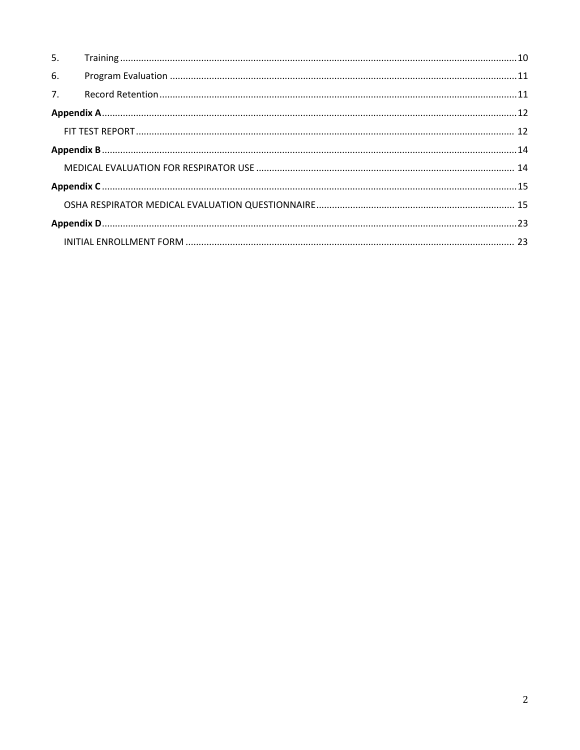| 5.             |  |  |
|----------------|--|--|
| 6.             |  |  |
| 7 <sub>1</sub> |  |  |
|                |  |  |
|                |  |  |
|                |  |  |
|                |  |  |
|                |  |  |
|                |  |  |
|                |  |  |
|                |  |  |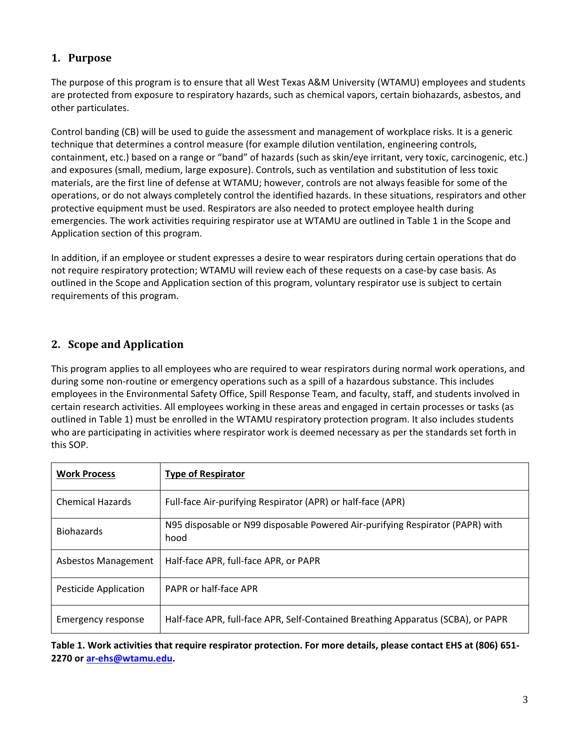# <span id="page-2-0"></span>**1. Purpose**

The purpose of this program is to ensure that all West Texas A&M University (WTAMU) employees and students are protected from exposure to respiratory hazards, such as chemical vapors, certain biohazards, asbestos, and other particulates.

Control banding (CB) will be used to guide the assessment and management of workplace risks. It is a generic technique that determines a control measure (for example dilution ventilation, engineering controls, containment, etc.) based on a range or "band" of hazards (such as skin/eye irritant, very toxic, carcinogenic, etc.) and exposures (small, medium, large exposure). Controls, such as ventilation and substitution of less toxic materials, are the first line of defense at WTAMU; however, controls are not always feasible for some of the operations, or do not always completely control the identified hazards. In these situations, respirators and other protective equipment must be used. Respirators are also needed to protect employee health during emergencies. The work activities requiring respirator use at WTAMU are outlined in Table 1 in the Scope and Application section of this program.

In addition, if an employee or student expresses a desire to wear respirators during certain operations that do not require respiratory protection; WTAMU will review each of these requests on a case-by case basis. As outlined in the Scope and Application section of this program, voluntary respirator use is subject to certain requirements of this program.

# <span id="page-2-1"></span>**2. Scope and Application**

This program applies to all employees who are required to wear respirators during normal work operations, and during some non-routine or emergency operations such as a spill of a hazardous substance. This includes employees in the Environmental Safety Office, Spill Response Team, and faculty, staff, and students involved in certain research activities. All employees working in these areas and engaged in certain processes or tasks (as outlined in Table 1) must be enrolled in the WTAMU respiratory protection program. It also includes students who are participating in activities where respirator work is deemed necessary as per the standards set forth in this SOP.

| <b>Work Process</b>     | <b>Type of Respirator</b>                                                             |
|-------------------------|---------------------------------------------------------------------------------------|
| <b>Chemical Hazards</b> | Full-face Air-purifying Respirator (APR) or half-face (APR)                           |
| <b>Biohazards</b>       | N95 disposable or N99 disposable Powered Air-purifying Respirator (PAPR) with<br>hood |
| Asbestos Management     | Half-face APR, full-face APR, or PAPR                                                 |
| Pesticide Application   | PAPR or half-face APR                                                                 |
| Emergency response      | Half-face APR, full-face APR, Self-Contained Breathing Apparatus (SCBA), or PAPR      |

**Table 1. Work activities that require respirator protection. For more details, please contact EHS at (806) 651- 2270 or [ar-ehs@wtamu.edu.](mailto:ar-ehs@wtamu.edu)**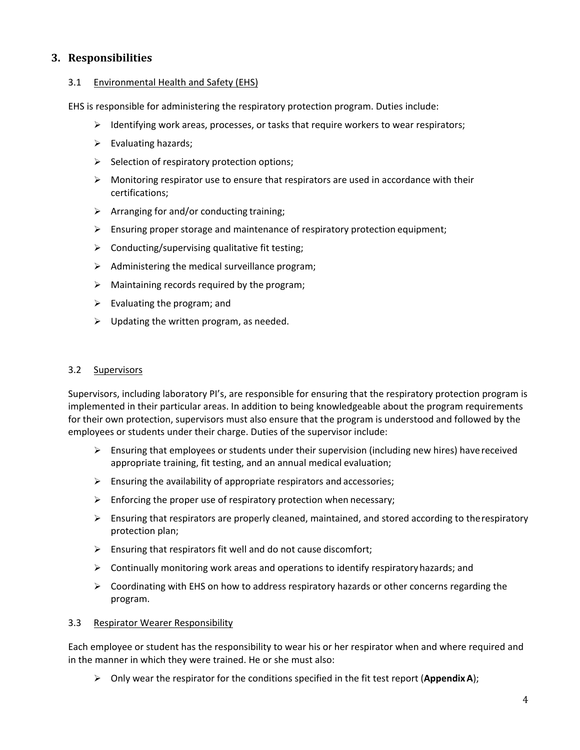## <span id="page-3-0"></span>**3. Responsibilities**

#### <span id="page-3-1"></span>3.1 Environmental Health and Safety (EHS)

EHS is responsible for administering the respiratory protection program. Duties include:

- $\triangleright$  Identifying work areas, processes, or tasks that require workers to wear respirators;
- $\triangleright$  Evaluating hazards;
- $\triangleright$  Selection of respiratory protection options;
- $\triangleright$  Monitoring respirator use to ensure that respirators are used in accordance with their certifications;
- $\triangleright$  Arranging for and/or conducting training;
- $\triangleright$  Ensuring proper storage and maintenance of respiratory protection equipment;
- $\triangleright$  Conducting/supervising qualitative fit testing;
- $\triangleright$  Administering the medical surveillance program;
- $\triangleright$  Maintaining records required by the program;
- $\triangleright$  Evaluating the program; and
- $\triangleright$  Updating the written program, as needed.

#### <span id="page-3-2"></span>3.2 Supervisors

Supervisors, including laboratory PI's, are responsible for ensuring that the respiratory protection program is implemented in their particular areas. In addition to being knowledgeable about the program requirements for their own protection, supervisors must also ensure that the program is understood and followed by the employees or students under their charge. Duties of the supervisor include:

- $\triangleright$  Ensuring that employees or students under their supervision (including new hires) have received appropriate training, fit testing, and an annual medical evaluation;
- $\triangleright$  Ensuring the availability of appropriate respirators and accessories;
- $\triangleright$  Enforcing the proper use of respiratory protection when necessary;
- $\triangleright$  Ensuring that respirators are properly cleaned, maintained, and stored according to the respiratory protection plan;
- $\triangleright$  Ensuring that respirators fit well and do not cause discomfort;
- $\triangleright$  Continually monitoring work areas and operations to identify respiratory hazards; and
- $\triangleright$  Coordinating with EHS on how to address respiratory hazards or other concerns regarding the program.

#### <span id="page-3-3"></span>3.3 Respirator Wearer Responsibility

Each employee or student has the responsibility to wear his or her respirator when and where required and in the manner in which they were trained. He or she must also:

Only wear the respirator for the conditions specified in the fit test report (**AppendixA**);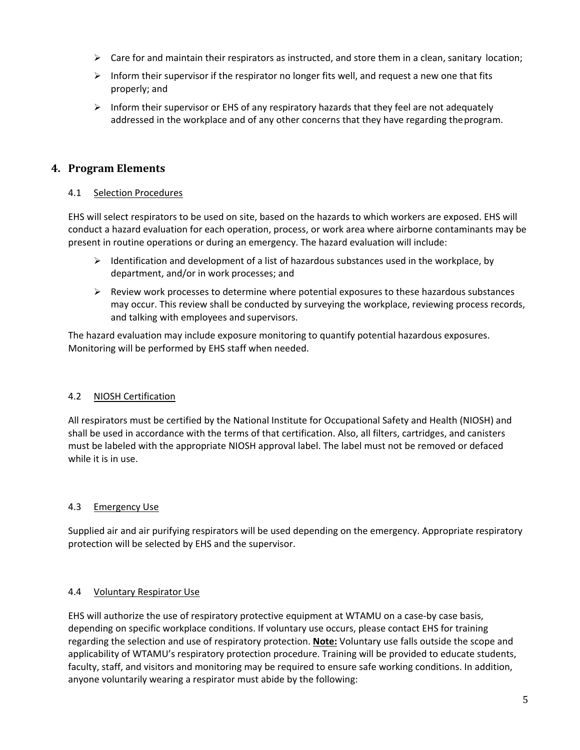- $\triangleright$  Care for and maintain their respirators as instructed, and store them in a clean, sanitary location;
- $\triangleright$  Inform their supervisor if the respirator no longer fits well, and request a new one that fits properly; and
- $\triangleright$  Inform their supervisor or EHS of any respiratory hazards that they feel are not adequately addressed in the workplace and of any other concerns that they have regarding theprogram.

## <span id="page-4-0"></span>**4. Program Elements**

#### <span id="page-4-1"></span>4.1 Selection Procedures

EHS will select respirators to be used on site, based on the hazards to which workers are exposed. EHS will conduct a hazard evaluation for each operation, process, or work area where airborne contaminants may be present in routine operations or during an emergency. The hazard evaluation will include:

- $\triangleright$  Identification and development of a list of hazardous substances used in the workplace, by department, and/or in work processes; and
- $\triangleright$  Review work processes to determine where potential exposures to these hazardous substances may occur. This review shall be conducted by surveying the workplace, reviewing process records, and talking with employees and supervisors.

The hazard evaluation may include exposure monitoring to quantify potential hazardous exposures. Monitoring will be performed by EHS staff when needed.

#### <span id="page-4-2"></span>4.2 NIOSH Certification

All respirators must be certified by the National Institute for Occupational Safety and Health (NIOSH) and shall be used in accordance with the terms of that certification. Also, all filters, cartridges, and canisters must be labeled with the appropriate NIOSH approval label. The label must not be removed or defaced while it is in use.

#### <span id="page-4-3"></span>4.3 Emergency Use

Supplied air and air purifying respirators will be used depending on the emergency. Appropriate respiratory protection will be selected by EHS and the supervisor.

#### <span id="page-4-4"></span>4.4 Voluntary Respirator Use

EHS will authorize the use of respiratory protective equipment at WTAMU on a case-by case basis, depending on specific workplace conditions. If voluntary use occurs, please contact EHS for training regarding the selection and use of respiratory protection. **Note:** Voluntary use falls outside the scope and applicability of WTAMU's respiratory protection procedure. Training will be provided to educate students, faculty, staff, and visitors and monitoring may be required to ensure safe working conditions. In addition, anyone voluntarily wearing a respirator must abide by the following: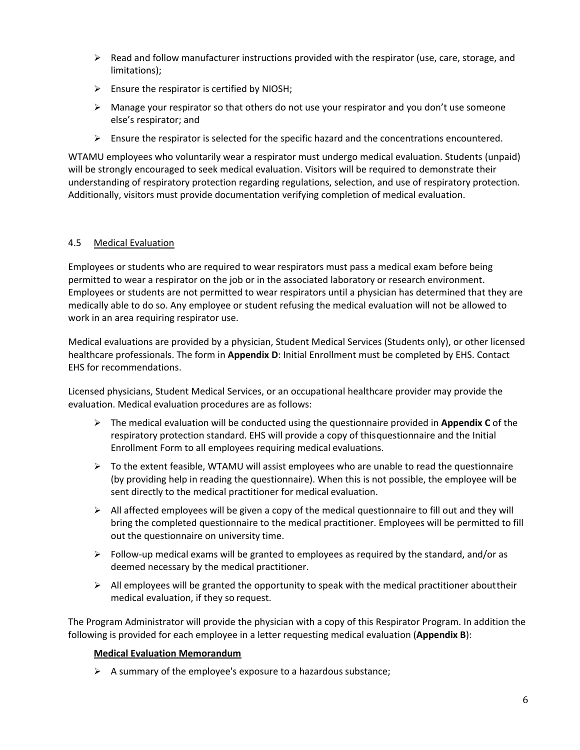- $\triangleright$  Read and follow manufacturer instructions provided with the respirator (use, care, storage, and limitations);
- $\triangleright$  Ensure the respirator is certified by NIOSH;
- $\triangleright$  Manage your respirator so that others do not use your respirator and you don't use someone else's respirator; and
- $\triangleright$  Ensure the respirator is selected for the specific hazard and the concentrations encountered.

WTAMU employees who voluntarily wear a respirator must undergo medical evaluation. Students (unpaid) will be strongly encouraged to seek medical evaluation. Visitors will be required to demonstrate their understanding of respiratory protection regarding regulations, selection, and use of respiratory protection. Additionally, visitors must provide documentation verifying completion of medical evaluation.

#### <span id="page-5-0"></span>4.5 Medical Evaluation

Employees or students who are required to wear respirators must pass a medical exam before being permitted to wear a respirator on the job or in the associated laboratory or research environment. Employees or students are not permitted to wear respirators until a physician has determined that they are medically able to do so. Any employee or student refusing the medical evaluation will not be allowed to work in an area requiring respirator use.

Medical evaluations are provided by a physician, Student Medical Services (Students only), or other licensed healthcare professionals. The form in **Appendix D**: Initial Enrollment must be completed by EHS. Contact EHS for recommendations.

Licensed physicians, Student Medical Services, or an occupational healthcare provider may provide the evaluation. Medical evaluation procedures are as follows:

- The medical evaluation will be conducted using the questionnaire provided in **[Appendix C](http://www.osha.gov/pls/oshaweb/owadisp.show_document?p_table=STANDARDS&p_id=9783)** of the respiratory protection standard. EHS will provide a copy of thisquestionnaire and the Initial Enrollment Form to all employees requiring medical evaluations.
- $\triangleright$  To the extent feasible, WTAMU will assist employees who are unable to read the questionnaire (by providing help in reading the questionnaire). When this is not possible, the employee will be sent directly to the medical practitioner for medical evaluation.
- $\triangleright$  All affected employees will be given a copy of the medical questionnaire to fill out and they will bring the completed questionnaire to the medical practitioner. Employees will be permitted to fill out the questionnaire on university time.
- $\triangleright$  Follow-up medical exams will be granted to employees as required by the standard, and/or as deemed necessary by the medical practitioner.
- $\triangleright$  All employees will be granted the opportunity to speak with the medical practitioner about their medical evaluation, if they so request.

The Program Administrator will provide the physician with a copy of this Respirator Program. In addition the following is provided for each employee in a letter requesting medical evaluation (**Appendix B**):

#### **Medical Evaluation Memorandum**

 $\triangleright$  A summary of the employee's exposure to a hazardous substance;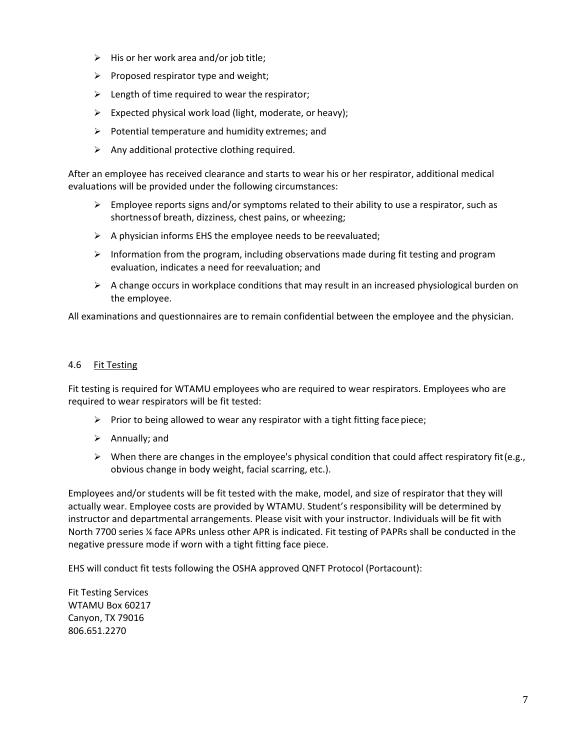- $\triangleright$  His or her work area and/or job title;
- $\triangleright$  Proposed respirator type and weight;
- $\triangleright$  Length of time required to wear the respirator;
- $\triangleright$  Expected physical work load (light, moderate, or heavy);
- $\triangleright$  Potential temperature and humidity extremes; and
- $\triangleright$  Any additional protective clothing required.

After an employee has received clearance and starts to wear his or her respirator, additional medical evaluations will be provided under the following circumstances:

- $\triangleright$  Employee reports signs and/or symptoms related to their ability to use a respirator, such as shortnessof breath, dizziness, chest pains, or wheezing;
- $\triangleright$  A physician informs EHS the employee needs to be reevaluated;
- $\triangleright$  Information from the program, including observations made during fit testing and program evaluation, indicates a need for reevaluation; and
- $\triangleright$  A change occurs in workplace conditions that may result in an increased physiological burden on the employee.

All examinations and questionnaires are to remain confidential between the employee and the physician.

#### <span id="page-6-0"></span>4.6 Fit Testing

Fit testing is required for WTAMU employees who are required to wear respirators. Employees who are required to wear respirators will be fit tested:

- $\triangleright$  Prior to being allowed to wear any respirator with a tight fitting face piece;
- $\triangleright$  Annually; and
- $\triangleright$  When there are changes in the employee's physical condition that could affect respiratory fit (e.g., obvious change in body weight, facial scarring, etc.).

Employees and/or students will be fit tested with the make, model, and size of respirator that they will actually wear. Employee costs are provided by WTAMU. Student's responsibility will be determined by instructor and departmental arrangements. Please visit with your instructor. Individuals will be fit with North 7700 series ¼ face APRs unless other APR is indicated. Fit testing of PAPRs shall be conducted in the negative pressure mode if worn with a tight fitting face piece.

EHS will conduct fit tests following the OSHA approved QNFT Protocol (Portacount):

Fit Testing Services WTAMU Box 60217 Canyon, TX 79016 806.651.2270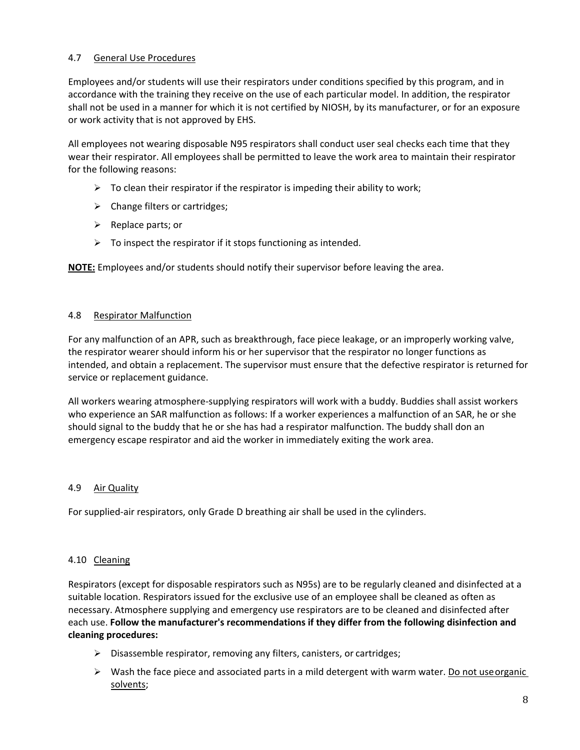#### <span id="page-7-0"></span>4.7 General Use Procedures

Employees and/or students will use their respirators under conditions specified by this program, and in accordance with the training they receive on the use of each particular model. In addition, the respirator shall not be used in a manner for which it is not certified by NIOSH, by its manufacturer, or for an exposure or work activity that is not approved by EHS.

All employees not wearing disposable N95 respirators shall conduct user seal checks each time that they wear their respirator. All employees shall be permitted to leave the work area to maintain their respirator for the following reasons:

- $\triangleright$  To clean their respirator if the respirator is impeding their ability to work;
- $\triangleright$  Change filters or cartridges;
- $\triangleright$  Replace parts; or
- $\triangleright$  To inspect the respirator if it stops functioning as intended.

**NOTE:** Employees and/or students should notify their supervisor before leaving the area.

#### <span id="page-7-1"></span>4.8 Respirator Malfunction

For any malfunction of an APR, such as breakthrough, face piece leakage, or an improperly working valve, the respirator wearer should inform his or her supervisor that the respirator no longer functions as intended, and obtain a replacement. The supervisor must ensure that the defective respirator is returned for service or replacement guidance.

All workers wearing atmosphere-supplying respirators will work with a buddy. Buddies shall assist workers who experience an SAR malfunction as follows: If a worker experiences a malfunction of an SAR, he or she should signal to the buddy that he or she has had a respirator malfunction. The buddy shall don an emergency escape respirator and aid the worker in immediately exiting the work area.

#### <span id="page-7-2"></span>4.9 Air Quality

For supplied-air respirators, only Grade D breathing air shall be used in the cylinders.

#### <span id="page-7-3"></span>4.10 Cleaning

Respirators (except for disposable respirators such as N95s) are to be regularly cleaned and disinfected at a suitable location. Respirators issued for the exclusive use of an employee shall be cleaned as often as necessary. Atmosphere supplying and emergency use respirators are to be cleaned and disinfected after each use. **Follow the manufacturer's recommendations if they differ from the following disinfection and cleaning procedures:**

- $\triangleright$  Disassemble respirator, removing any filters, canisters, or cartridges;
- $\triangleright$  Wash the face piece and associated parts in a mild detergent with warm water. Do not use organic solvents;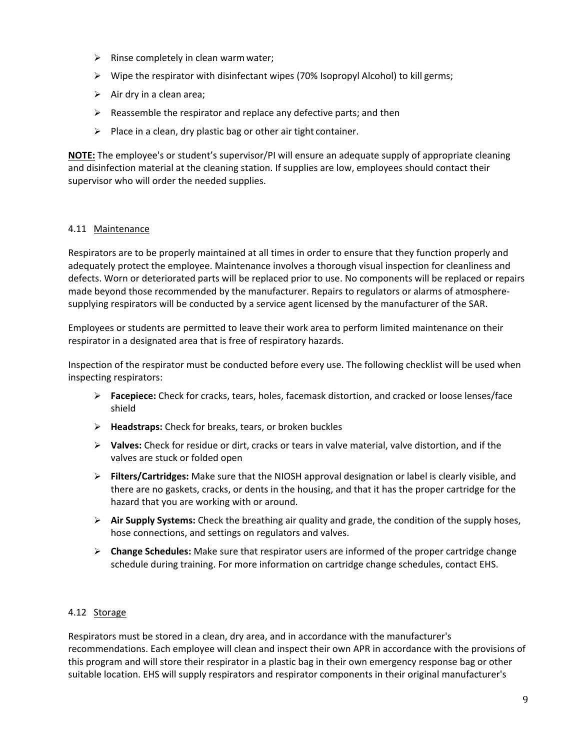- $\triangleright$  Rinse completely in clean warm water;
- $\triangleright$  Wipe the respirator with disinfectant wipes (70% Isopropyl Alcohol) to kill germs;
- $\triangleright$  Air dry in a clean area;
- $\triangleright$  Reassemble the respirator and replace any defective parts; and then
- $\triangleright$  Place in a clean, dry plastic bag or other air tight container.

**NOTE:** The employee's or student's supervisor/PI will ensure an adequate supply of appropriate cleaning and disinfection material at the cleaning station. If supplies are low, employees should contact their supervisor who will order the needed supplies.

#### <span id="page-8-0"></span>4.11 Maintenance

Respirators are to be properly maintained at all times in order to ensure that they function properly and adequately protect the employee. Maintenance involves a thorough visual inspection for cleanliness and defects. Worn or deteriorated parts will be replaced prior to use. No components will be replaced or repairs made beyond those recommended by the manufacturer. Repairs to regulators or alarms of atmospheresupplying respirators will be conducted by a service agent licensed by the manufacturer of the SAR.

Employees or students are permitted to leave their work area to perform limited maintenance on their respirator in a designated area that is free of respiratory hazards.

Inspection of the respirator must be conducted before every use. The following checklist will be used when inspecting respirators:

- **Facepiece:** Check for cracks, tears, holes, facemask distortion, and cracked or loose lenses/face shield
- **Headstraps:** Check for breaks, tears, or broken buckles
- **Valves:** Check for residue or dirt, cracks or tears in valve material, valve distortion, and if the valves are stuck or folded open
- **Filters/Cartridges:** Make sure that the NIOSH approval designation or label is clearly visible, and there are no gaskets, cracks, or dents in the housing, and that it has the proper cartridge for the hazard that you are working with or around.
- **Air Supply Systems:** Check the breathing air quality and grade, the condition of the supply hoses, hose connections, and settings on regulators and valves.
- **Change Schedules:** Make sure that respirator users are informed of the proper cartridge change schedule during training. For more information on cartridge change schedules, contact EHS.

#### <span id="page-8-1"></span>4.12 Storage

Respirators must be stored in a clean, dry area, and in accordance with the manufacturer's recommendations. Each employee will clean and inspect their own APR in accordance with the provisions of this program and will store their respirator in a plastic bag in their own emergency response bag or other suitable location. EHS will supply respirators and respirator components in their original manufacturer's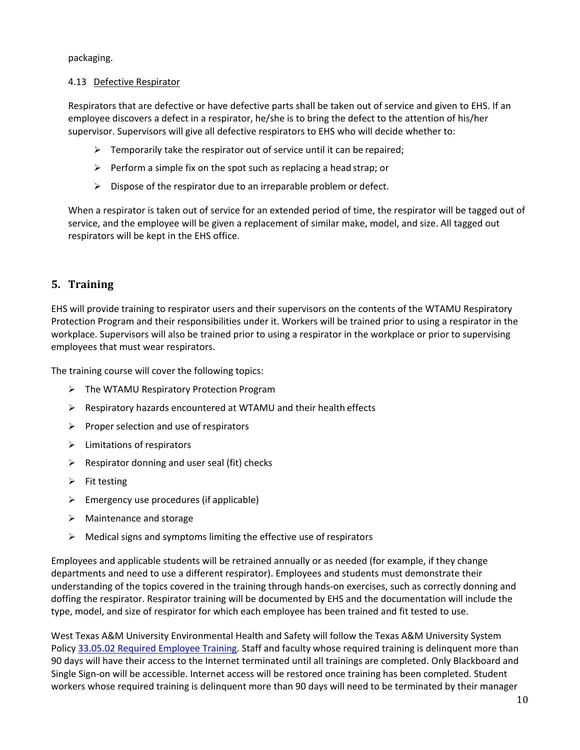packaging.

#### <span id="page-9-0"></span>4.13 Defective Respirator

Respirators that are defective or have defective parts shall be taken out of service and given to EHS. If an employee discovers a defect in a respirator, he/she is to bring the defect to the attention of his/her supervisor. Supervisors will give all defective respirators to EHS who will decide whether to:

- $\triangleright$  Temporarily take the respirator out of service until it can be repaired;
- $\triangleright$  Perform a simple fix on the spot such as replacing a head strap; or
- $\triangleright$  Dispose of the respirator due to an irreparable problem or defect.

When a respirator is taken out of service for an extended period of time, the respirator will be tagged out of service, and the employee will be given a replacement of similar make, model, and size. All tagged out respirators will be kept in the EHS office.

## <span id="page-9-1"></span>**5. Training**

EHS will provide training to respirator users and their supervisors on the contents of the WTAMU Respiratory Protection Program and their responsibilities under it. Workers will be trained prior to using a respirator in the workplace. Supervisors will also be trained prior to using a respirator in the workplace or prior to supervising employees that must wear respirators.

The training course will cover the following topics:

- The WTAMU Respiratory Protection Program
- $\triangleright$  Respiratory hazards encountered at WTAMU and their health effects
- $\triangleright$  Proper selection and use of respirators
- $\triangleright$  Limitations of respirators
- $\triangleright$  Respirator donning and user seal (fit) checks
- $\triangleright$  Fit testing
- $\triangleright$  Emergency use procedures (if applicable)
- $\triangleright$  Maintenance and storage
- $\triangleright$  Medical signs and symptoms limiting the effective use of respirators

Employees and applicable students will be retrained annually or as needed (for example, if they change departments and need to use a different respirator). Employees and students must demonstrate their understanding of the topics covered in the training through hands-on exercises, such as correctly donning and doffing the respirator. Respirator training will be documented by EHS and the documentation will include the type, model, and size of respirator for which each employee has been trained and fit tested to use.

West Texas A&M University Environmental Health and Safety will follow the Texas A&M University System Polic[y 33.05.02 Required Employee Training.](http://policies.tamus.edu/33-05-02.pdf) Staff and faculty whose required training is delinquent more than 90 days will have their access to the Internet terminated until all trainings are completed. Only Blackboard and Single Sign-on will be accessible. Internet access will be restored once training has been completed. Student workers whose required training is delinquent more than 90 days will need to be terminated by their manager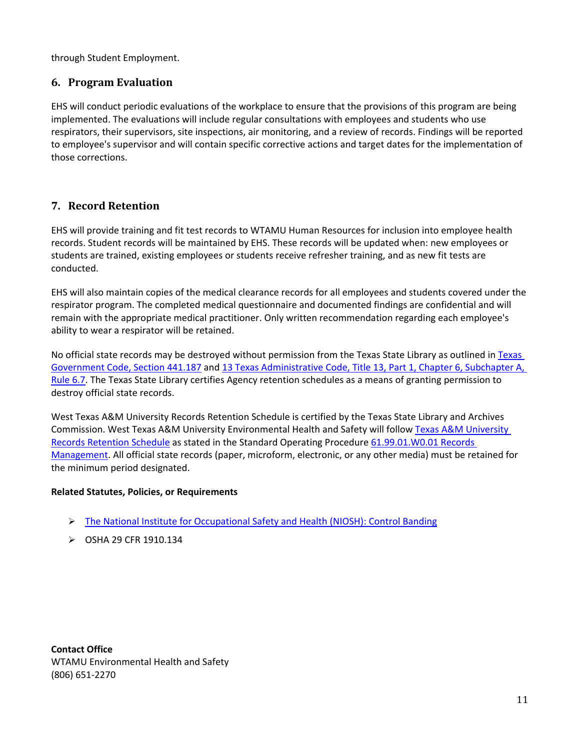through Student Employment.

### <span id="page-10-0"></span>**6. Program Evaluation**

EHS will conduct periodic evaluations of the workplace to ensure that the provisions of this program are being implemented. The evaluations will include regular consultations with employees and students who use respirators, their supervisors, site inspections, air monitoring, and a review of records. Findings will be reported to employee's supervisor and will contain specific corrective actions and target dates for the implementation of those corrections.

## <span id="page-10-1"></span>**7. Record Retention**

EHS will provide training and fit test records to WTAMU Human Resources for inclusion into employee health records. Student records will be maintained by EHS. These records will be updated when: new employees or students are trained, existing employees or students receive refresher training, and as new fit tests are conducted.

EHS will also maintain copies of the medical clearance records for all employees and students covered under the respirator program. The completed medical questionnaire and documented findings are confidential and will remain with the appropriate medical practitioner. Only written recommendation regarding each employee's ability to wear a respirator will be retained.

No official state records may be destroyed without permission from the [Texas](http://www.statutes.legis.state.tx.us/?link=GV) State Library as outlined in Texas [Government Code, Section 441.187](http://www.statutes.legis.state.tx.us/?link=GV) an[d 13 Texas Administrative Code, Title 13, Part 1, Chapter 6,](http://txrules.elaws.us/rule/title13_chapter6_sec.6.7) Subchapter A, [Rule](http://txrules.elaws.us/rule/title13_chapter6_sec.6.7) 6.7. The Texas State Library certifies Agency retention schedules as a means of granting permission to destroy official state records.

West Texas A&M University Records Retention Schedule is certified by the Texas State Library and Archives Commission. West Texas A&M University Environmental Health and Safety will follow [Texas A&M University](https://www.wtamu.edu/webres/File/Risk%20Management/System-Records-Retention-Schedule.pdf)  [Records Retention Schedule](https://www.wtamu.edu/webres/File/Risk%20Management/System-Records-Retention-Schedule.pdf) as stated in the Standard Operating Procedure [61.99.01.W0.01 Records](http://www.wtamu.edu/webres/File/Risk%20Management/61.99.01.W0.01_PROCEDURE_Records%20Management_FINAL%20SIGNED.pdf)  [Management.](http://www.wtamu.edu/webres/File/Risk%20Management/61.99.01.W0.01_PROCEDURE_Records%20Management_FINAL%20SIGNED.pdf) All official state records (paper, microform, electronic, or any other media) must be retained for the minimum period designated.

#### **Related Statutes, Policies, or Requirements**

- The National Institute for Occupational Safety and Health (NIOSH): Control Banding
- OSHA 29 CFR 1910.134

**Contact Office** WTAMU Environmental Health and Safety (806) 651-2270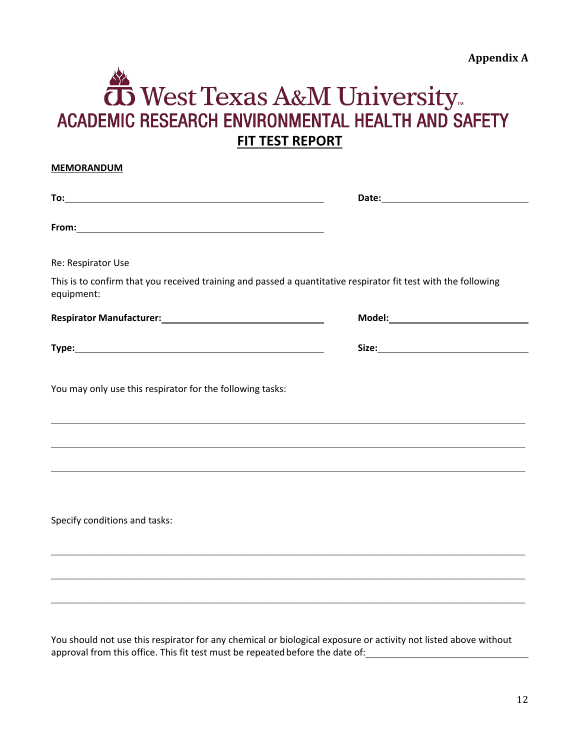# <span id="page-11-0"></span>West Texas A&M University<br>FMIC RESEARCH ENVIRONMENTAL HEALTH AND SA ACADEMIC RESEARCH ENVIRONMENTAL HEALTH AND SAFETY **FIT TEST REPORT**

<span id="page-11-1"></span>

| <b>MEMORANDUM</b>                                                                                                            |  |
|------------------------------------------------------------------------------------------------------------------------------|--|
|                                                                                                                              |  |
|                                                                                                                              |  |
| Re: Respirator Use                                                                                                           |  |
| This is to confirm that you received training and passed a quantitative respirator fit test with the following<br>equipment: |  |
|                                                                                                                              |  |
|                                                                                                                              |  |
| You may only use this respirator for the following tasks:                                                                    |  |
|                                                                                                                              |  |
| ,我们也不能在这里的人,我们也不能在这里的人,我们也不能在这里的人,我们也不能在这里的人,我们也不能在这里的人,我们也不能在这里的人,我们也不能在这里的人,我们也                                            |  |
| Specify conditions and tasks:                                                                                                |  |
|                                                                                                                              |  |

You should not use this respirator for any chemical or biological exposure or activity not listed above without approval from this office. This fit test must be repeated before the date of:

 $\mathcal{L}_\mathcal{L} = \mathcal{L}_\mathcal{L} = \mathcal{L}_\mathcal{L} = \mathcal{L}_\mathcal{L} = \mathcal{L}_\mathcal{L} = \mathcal{L}_\mathcal{L} = \mathcal{L}_\mathcal{L} = \mathcal{L}_\mathcal{L} = \mathcal{L}_\mathcal{L} = \mathcal{L}_\mathcal{L} = \mathcal{L}_\mathcal{L} = \mathcal{L}_\mathcal{L} = \mathcal{L}_\mathcal{L} = \mathcal{L}_\mathcal{L} = \mathcal{L}_\mathcal{L} = \mathcal{L}_\mathcal{L} = \mathcal{L}_\mathcal{L}$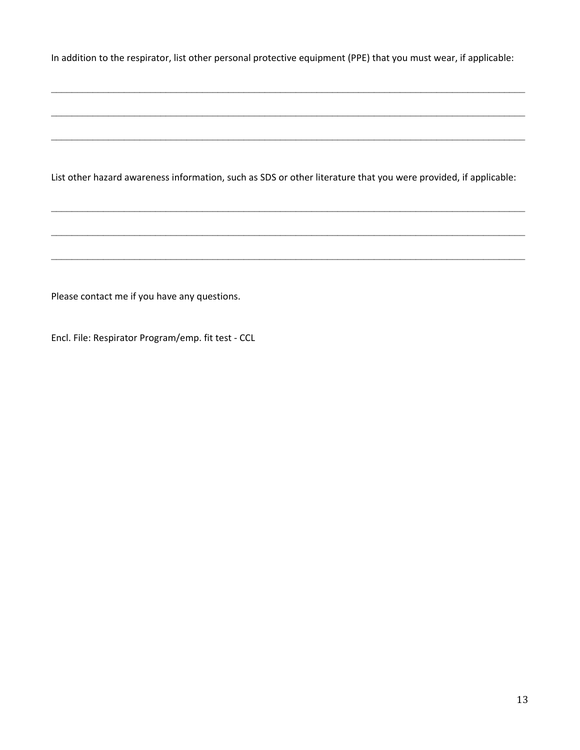In addition to the respirator, list other personal protective equipment (PPE) that you must wear, if applicable:

 $\mathcal{L}_\mathcal{L} = \mathcal{L}_\mathcal{L} = \mathcal{L}_\mathcal{L} = \mathcal{L}_\mathcal{L} = \mathcal{L}_\mathcal{L} = \mathcal{L}_\mathcal{L} = \mathcal{L}_\mathcal{L} = \mathcal{L}_\mathcal{L} = \mathcal{L}_\mathcal{L} = \mathcal{L}_\mathcal{L} = \mathcal{L}_\mathcal{L} = \mathcal{L}_\mathcal{L} = \mathcal{L}_\mathcal{L} = \mathcal{L}_\mathcal{L} = \mathcal{L}_\mathcal{L} = \mathcal{L}_\mathcal{L} = \mathcal{L}_\mathcal{L}$ 

\_\_\_\_\_\_\_\_\_\_\_\_\_\_\_\_\_\_\_\_\_\_\_\_\_\_\_\_\_\_\_\_\_\_\_\_\_\_\_\_\_\_\_\_\_\_\_\_\_\_\_\_\_\_\_\_\_\_\_\_\_\_\_\_\_\_\_\_\_\_\_\_\_\_\_\_\_\_\_\_\_\_\_\_\_\_\_\_\_\_\_

 $\mathcal{L}_\mathcal{L} = \mathcal{L}_\mathcal{L} = \mathcal{L}_\mathcal{L} = \mathcal{L}_\mathcal{L} = \mathcal{L}_\mathcal{L} = \mathcal{L}_\mathcal{L} = \mathcal{L}_\mathcal{L} = \mathcal{L}_\mathcal{L} = \mathcal{L}_\mathcal{L} = \mathcal{L}_\mathcal{L} = \mathcal{L}_\mathcal{L} = \mathcal{L}_\mathcal{L} = \mathcal{L}_\mathcal{L} = \mathcal{L}_\mathcal{L} = \mathcal{L}_\mathcal{L} = \mathcal{L}_\mathcal{L} = \mathcal{L}_\mathcal{L}$ 

List other hazard awareness information, such as SDS or other literature that you were provided, if applicable:

 $\_$ 

 $\_$ 

 $\_$ 

Please contact me if you have any questions.

Encl. File: Respirator Program/emp. fit test - CCL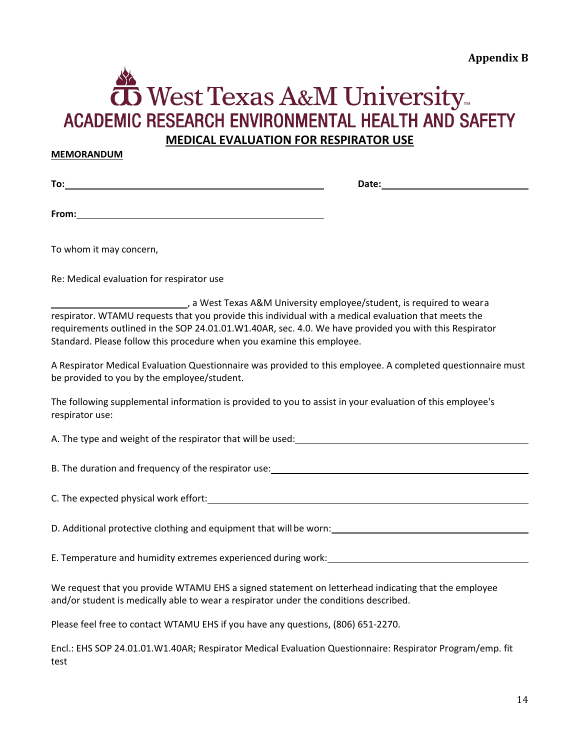# <span id="page-13-0"></span> ${\bf \bar{D}}$  West Texas A&M University... **ACADEMIC RESEARCH ENVIRONMENTAL HEALTH AND SAFETY MEDICAL EVALUATION FOR RESPIRATOR USE**

#### <span id="page-13-1"></span>**MEMORANDUM**

**To: Date:**

**From:**

To whom it may concern,

Re: Medical evaluation for respirator use

| , a West Texas A&M University employee/student, is required to weara                                   |
|--------------------------------------------------------------------------------------------------------|
| respirator. WTAMU requests that you provide this individual with a medical evaluation that meets the   |
| requirements outlined in the SOP 24.01.01.W1.40AR, sec. 4.0. We have provided you with this Respirator |
| Standard. Please follow this procedure when you examine this employee.                                 |
|                                                                                                        |

A Respirator Medical Evaluation Questionnaire was provided to this employee. A completed questionnaire must be provided to you by the employee/student.

| The following supplemental information is provided to you to assist in your evaluation of this employee's |  |  |
|-----------------------------------------------------------------------------------------------------------|--|--|
| respirator use:                                                                                           |  |  |

A. The type and weight of the respirator that will be used:

B. The duration and frequency of the respirator use:

C. The expected physical work effort:

D. Additional protective clothing and equipment that will be worn:

E. Temperature and humidity extremes experienced during work:

We request that you provide WTAMU EHS a signed statement on letterhead indicating that the employee and/or student is medically able to wear a respirator under the conditions described.

Please feel free to contact WTAMU EHS if you have any questions, (806) 651-2270.

Encl.: EHS SOP 24.01.01.W1.40AR; Respirator Medical Evaluation Questionnaire: Respirator Program/emp. fit test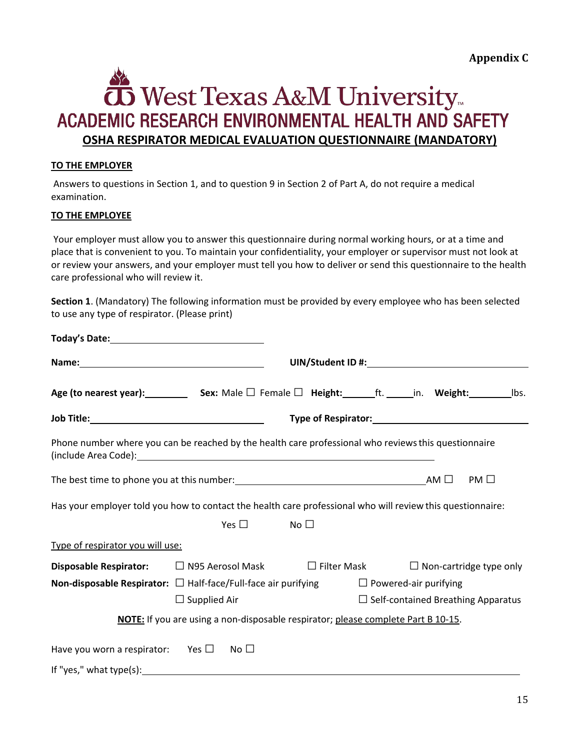**Appendix C**

# <span id="page-14-0"></span>**To** West Texas A&M University ACADEMIC RESEARCH ENVIRONMENTAL HEALTH AND SAFETY **OSHA RESPIRATOR MEDICAL EVALUATION QUESTIONNAIRE (MANDATORY)**

#### <span id="page-14-1"></span>**TO THE EMPLOYER**

Answers to questions in Section 1, and to question 9 in Section 2 of Part A, do not require a medical examination.

#### **TO THE EMPLOYEE**

Your employer must allow you to answer this questionnaire during normal working hours, or at a time and place that is convenient to you. To maintain your confidentiality, your employer or supervisor must not look at or review your answers, and your employer must tell you how to deliver or send this questionnaire to the health care professional who will review it.

**Section 1**. (Mandatory) The following information must be provided by every employee who has been selected to use any type of respirator. (Please print)

|                                                                            |                                                                                   |                    | UIN/Student ID #: New York Contract Contract Contract Contract Contract Contract Contract Contract Contract Co |
|----------------------------------------------------------------------------|-----------------------------------------------------------------------------------|--------------------|----------------------------------------------------------------------------------------------------------------|
|                                                                            |                                                                                   |                    | Age (to nearest year): Sex: Male $\Box$ Female $\Box$ Height: ft. in. Weight: lbs.                             |
|                                                                            |                                                                                   |                    |                                                                                                                |
|                                                                            |                                                                                   |                    | Phone number where you can be reached by the health care professional who reviews this questionnaire           |
|                                                                            |                                                                                   |                    | $PM \Box$                                                                                                      |
|                                                                            |                                                                                   |                    | Has your employer told you how to contact the health care professional who will review this questionnaire:     |
|                                                                            | Yes $\square$                                                                     | No $\square$       |                                                                                                                |
| Type of respirator you will use:                                           |                                                                                   |                    |                                                                                                                |
| <b>Disposable Respirator:</b> $\Box$ N95 Aerosol Mask                      |                                                                                   | $\Box$ Filter Mask | $\Box$ Non-cartridge type only                                                                                 |
| <b>Non-disposable Respirator:</b> $\Box$ Half-face/Full-face air purifying |                                                                                   |                    | $\Box$ Powered-air purifying                                                                                   |
|                                                                            | $\Box$ Supplied Air                                                               |                    | $\Box$ Self-contained Breathing Apparatus                                                                      |
|                                                                            | NOTE: If you are using a non-disposable respirator; please complete Part B 10-15. |                    |                                                                                                                |
| Have you worn a respirator: Yes $\square$                                  | No $\square$                                                                      |                    |                                                                                                                |
|                                                                            |                                                                                   |                    |                                                                                                                |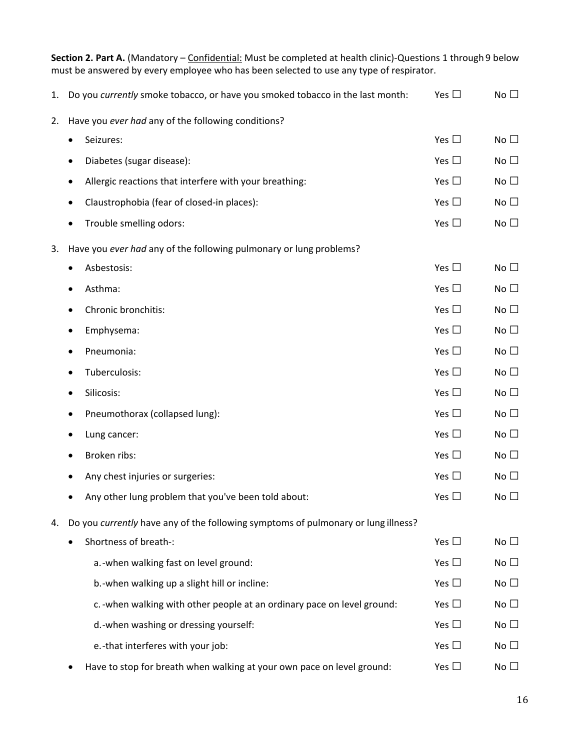| Section 2. Part A. (Mandatory - Confidential: Must be completed at health clinic)-Questions 1 through 9 below<br>must be answered by every employee who has been selected to use any type of respirator. |                                                                                   |               |              |  |
|----------------------------------------------------------------------------------------------------------------------------------------------------------------------------------------------------------|-----------------------------------------------------------------------------------|---------------|--------------|--|
| 1.                                                                                                                                                                                                       | Do you currently smoke tobacco, or have you smoked tobacco in the last month:     | Yes $\square$ | No $\square$ |  |
| 2.                                                                                                                                                                                                       | Have you ever had any of the following conditions?                                |               |              |  |
|                                                                                                                                                                                                          | Seizures:<br>٠                                                                    | Yes $\square$ | No $\square$ |  |
|                                                                                                                                                                                                          | Diabetes (sugar disease):<br>٠                                                    | Yes $\square$ | No $\square$ |  |
|                                                                                                                                                                                                          | Allergic reactions that interfere with your breathing:<br>٠                       | Yes $\square$ | No $\square$ |  |
|                                                                                                                                                                                                          | Claustrophobia (fear of closed-in places):<br>٠                                   | Yes $\square$ | No $\square$ |  |
|                                                                                                                                                                                                          | Trouble smelling odors:<br>٠                                                      | Yes $\square$ | No $\square$ |  |
| 3.                                                                                                                                                                                                       | Have you ever had any of the following pulmonary or lung problems?                |               |              |  |
|                                                                                                                                                                                                          | Asbestosis:<br>٠                                                                  | Yes $\square$ | No $\square$ |  |
|                                                                                                                                                                                                          | Asthma:                                                                           | Yes $\square$ | No $\square$ |  |
|                                                                                                                                                                                                          | Chronic bronchitis:                                                               | Yes $\square$ | No $\square$ |  |
|                                                                                                                                                                                                          | Emphysema:<br>٠                                                                   | Yes $\square$ | No $\square$ |  |
|                                                                                                                                                                                                          | Pneumonia:<br>٠                                                                   | Yes $\square$ | No $\square$ |  |
|                                                                                                                                                                                                          | Tuberculosis:                                                                     | Yes $\square$ | No $\square$ |  |
|                                                                                                                                                                                                          | Silicosis:<br>٠                                                                   | Yes $\square$ | No $\square$ |  |
|                                                                                                                                                                                                          | Pneumothorax (collapsed lung):<br>٠                                               | Yes $\square$ | No $\square$ |  |
|                                                                                                                                                                                                          | Lung cancer:                                                                      | Yes $\square$ | No $\square$ |  |
|                                                                                                                                                                                                          | Broken ribs:<br>٠                                                                 | Yes $\square$ | No $\square$ |  |
|                                                                                                                                                                                                          | Any chest injuries or surgeries:                                                  | Yes $\square$ | No $\square$ |  |
|                                                                                                                                                                                                          | Any other lung problem that you've been told about:                               | Yes $\square$ | No $\square$ |  |
| 4.                                                                                                                                                                                                       | Do you currently have any of the following symptoms of pulmonary or lung illness? |               |              |  |
|                                                                                                                                                                                                          | Shortness of breath-:                                                             | Yes $\square$ | No $\square$ |  |
|                                                                                                                                                                                                          | a.-when walking fast on level ground:                                             | Yes $\square$ | No $\square$ |  |
|                                                                                                                                                                                                          | b.-when walking up a slight hill or incline:                                      | Yes $\square$ | No $\square$ |  |
|                                                                                                                                                                                                          | c. - when walking with other people at an ordinary pace on level ground:          | Yes $\square$ | No $\square$ |  |
|                                                                                                                                                                                                          | d.-when washing or dressing yourself:                                             | Yes $\square$ | No $\square$ |  |
|                                                                                                                                                                                                          | e.-that interferes with your job:                                                 | Yes $\square$ | No $\square$ |  |
|                                                                                                                                                                                                          | Have to stop for breath when walking at your own pace on level ground:            | Yes $\square$ | No $\square$ |  |

16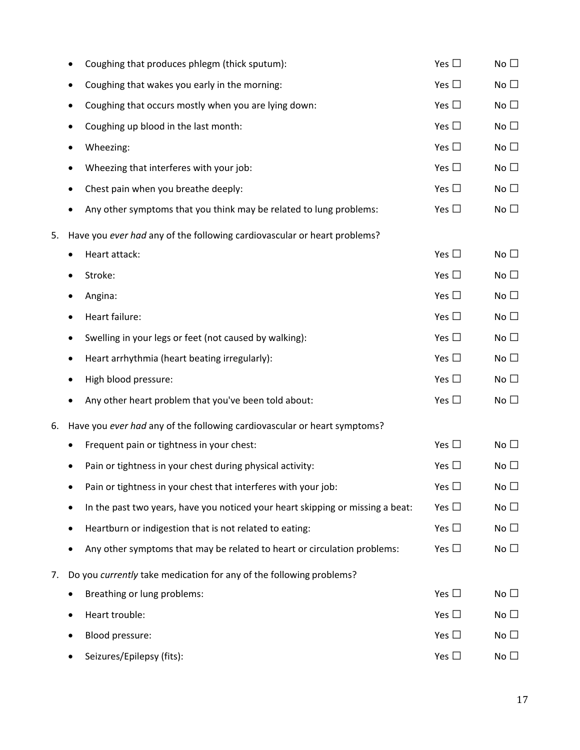|    | ٠ | Coughing that produces phlegm (thick sputum):                                  | Yes $\square$ | No $\square$ |
|----|---|--------------------------------------------------------------------------------|---------------|--------------|
|    |   | Coughing that wakes you early in the morning:                                  | Yes $\square$ | No $\square$ |
|    | ٠ | Coughing that occurs mostly when you are lying down:                           | Yes $\square$ | No $\square$ |
|    | ٠ | Coughing up blood in the last month:                                           | Yes $\square$ | No $\square$ |
|    |   | Wheezing:                                                                      | Yes $\square$ | No $\square$ |
|    |   | Wheezing that interferes with your job:                                        | Yes $\square$ | No $\square$ |
|    | ٠ | Chest pain when you breathe deeply:                                            | Yes $\square$ | No $\square$ |
|    |   | Any other symptoms that you think may be related to lung problems:             | Yes $\square$ | No $\square$ |
| 5. |   | Have you ever had any of the following cardiovascular or heart problems?       |               |              |
|    |   | Heart attack:                                                                  | Yes $\square$ | No $\square$ |
|    |   | Stroke:                                                                        | Yes $\square$ | No $\square$ |
|    |   | Angina:                                                                        | Yes $\square$ | No $\square$ |
|    | ٠ | Heart failure:                                                                 | Yes $\square$ | No $\square$ |
|    | ٠ | Swelling in your legs or feet (not caused by walking):                         | Yes $\square$ | No $\square$ |
|    | ٠ | Heart arrhythmia (heart beating irregularly):                                  | Yes $\square$ | No $\square$ |
|    |   | High blood pressure:                                                           | Yes $\square$ | No $\square$ |
|    | ٠ | Any other heart problem that you've been told about:                           | Yes $\square$ | No $\square$ |
| 6. |   | Have you ever had any of the following cardiovascular or heart symptoms?       |               |              |
|    |   | Frequent pain or tightness in your chest:                                      | Yes $\square$ | No $\square$ |
|    |   | Pain or tightness in your chest during physical activity:                      | Yes $\square$ | No $\square$ |
|    |   | Pain or tightness in your chest that interferes with your job:                 | Yes $\square$ | No $\square$ |
|    | ٠ | In the past two years, have you noticed your heart skipping or missing a beat: | Yes $\square$ | No $\square$ |
|    |   | Heartburn or indigestion that is not related to eating:                        | Yes $\square$ | No $\square$ |
|    |   | Any other symptoms that may be related to heart or circulation problems:       | Yes $\square$ | No $\square$ |
| 7. |   | Do you currently take medication for any of the following problems?            |               |              |
|    |   | Breathing or lung problems:                                                    | Yes $\square$ | No $\square$ |
|    | ٠ | Heart trouble:                                                                 | Yes $\square$ | No $\square$ |
|    |   | Blood pressure:                                                                | Yes $\square$ | No $\square$ |
|    |   | Seizures/Epilepsy (fits):                                                      | Yes $\square$ | No $\square$ |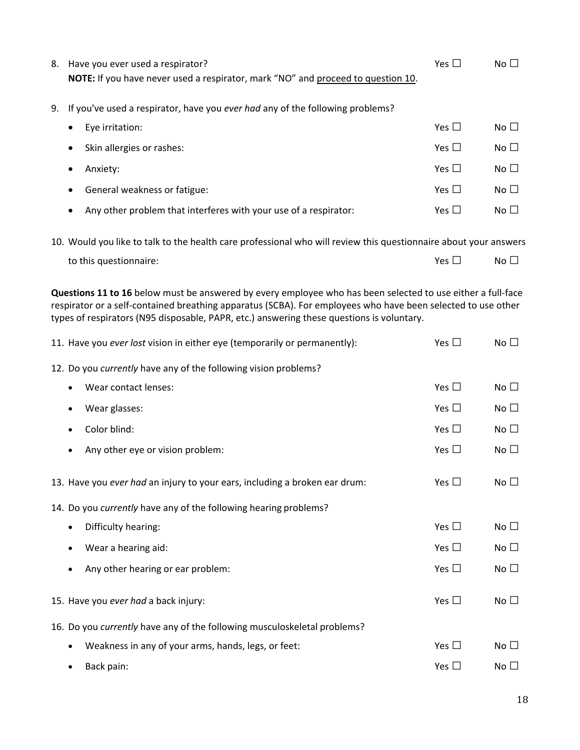| 8. | Have you ever used a respirator?<br>NOTE: If you have never used a respirator, mark "NO" and proceed to question 10. | Yes $\Box$    | No <sub>1</sub> |  |  |
|----|----------------------------------------------------------------------------------------------------------------------|---------------|-----------------|--|--|
| 9. | If you've used a respirator, have you ever had any of the following problems?                                        |               |                 |  |  |
|    | Eye irritation:<br>٠                                                                                                 | Yes $\square$ | No $\square$    |  |  |
|    | Skin allergies or rashes:<br>$\bullet$                                                                               | Yes $\Box$    | No <sub>1</sub> |  |  |
|    | Anxiety:<br>$\bullet$                                                                                                | Yes $\Box$    | No $\square$    |  |  |
|    | General weakness or fatigue:<br>٠                                                                                    | Yes $\Box$    | No $\square$    |  |  |
|    | Any other problem that interferes with your use of a respirator:<br>$\bullet$                                        | Yes $\Box$    | No <sub>1</sub> |  |  |
|    | 10. Would you like to talk to the health care professional who will review this questionnaire about your answers     |               |                 |  |  |
|    | to this questionnaire:                                                                                               | Yes $\Box$    | No <sub>1</sub> |  |  |
|    |                                                                                                                      |               |                 |  |  |

**Questions 11 to 16** below must be answered by every employee who has been selected to use either a full-face respirator or a self-contained breathing apparatus (SCBA). For employees who have been selected to use other types of respirators (N95 disposable, PAPR, etc.) answering these questions is voluntary.

| 11. Have you ever lost vision in either eye (temporarily or permanently):  | Yes $\square$ | No $\square$ |  |  |
|----------------------------------------------------------------------------|---------------|--------------|--|--|
| 12. Do you currently have any of the following vision problems?            |               |              |  |  |
| Wear contact lenses:<br>$\bullet$                                          | Yes $\square$ | No $\square$ |  |  |
| Wear glasses:<br>٠                                                         | Yes $\square$ | No $\square$ |  |  |
| Color blind:<br>$\bullet$                                                  | Yes $\square$ | No $\square$ |  |  |
| Any other eye or vision problem:<br>$\bullet$                              | Yes $\Box$    | No $\square$ |  |  |
| 13. Have you ever had an injury to your ears, including a broken ear drum: | Yes $\square$ | No $\square$ |  |  |
| 14. Do you currently have any of the following hearing problems?           |               |              |  |  |
| Difficulty hearing:<br>$\bullet$                                           | Yes $\square$ | No $\square$ |  |  |
| Wear a hearing aid:<br>$\bullet$                                           | Yes $\square$ | No $\square$ |  |  |
| Any other hearing or ear problem:<br>$\bullet$                             | Yes $\Box$    | No $\square$ |  |  |
| 15. Have you ever had a back injury:                                       | Yes $\square$ | No $\square$ |  |  |
| 16. Do you currently have any of the following musculoskeletal problems?   |               |              |  |  |
| Weakness in any of your arms, hands, legs, or feet:<br>$\bullet$           | Yes $\square$ | No $\square$ |  |  |
| Back pain:<br>$\bullet$                                                    | Yes $\square$ | No $\square$ |  |  |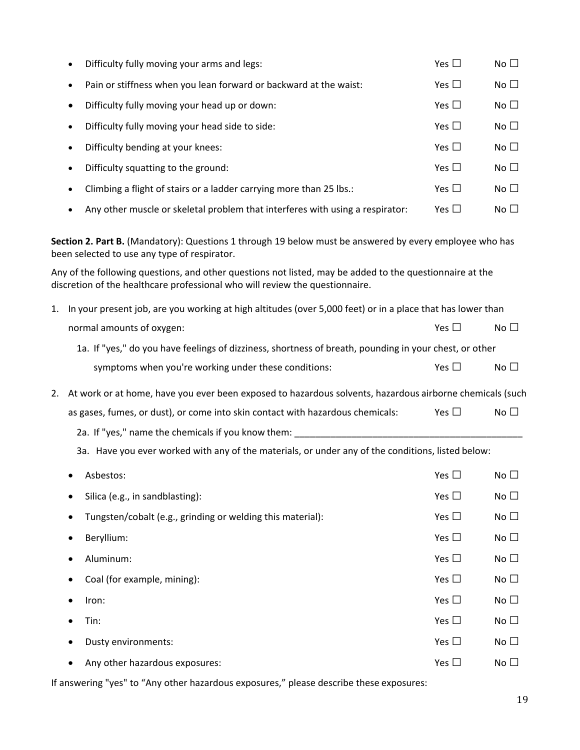|    |                                                                                                   | Difficulty fully moving your arms and legs:                                                                                                                                              | Yes $\square$ | No $\square$ |  |
|----|---------------------------------------------------------------------------------------------------|------------------------------------------------------------------------------------------------------------------------------------------------------------------------------------------|---------------|--------------|--|
|    | $\bullet$                                                                                         | Pain or stiffness when you lean forward or backward at the waist:                                                                                                                        | Yes $\square$ | No $\square$ |  |
|    | ٠                                                                                                 | Difficulty fully moving your head up or down:                                                                                                                                            | Yes $\square$ | No $\square$ |  |
|    | $\bullet$                                                                                         | Difficulty fully moving your head side to side:                                                                                                                                          | Yes $\square$ | No $\square$ |  |
|    | $\bullet$                                                                                         | Difficulty bending at your knees:                                                                                                                                                        | Yes $\square$ | No $\square$ |  |
|    | $\bullet$                                                                                         | Difficulty squatting to the ground:                                                                                                                                                      | Yes $\square$ | No $\square$ |  |
|    |                                                                                                   | Climbing a flight of stairs or a ladder carrying more than 25 lbs.:                                                                                                                      | Yes $\square$ | No $\square$ |  |
|    |                                                                                                   | Any other muscle or skeletal problem that interferes with using a respirator:                                                                                                            | Yes $\square$ | No $\square$ |  |
|    |                                                                                                   | Section 2. Part B. (Mandatory): Questions 1 through 19 below must be answered by every employee who has<br>been selected to use any type of respirator.                                  |               |              |  |
|    |                                                                                                   | Any of the following questions, and other questions not listed, may be added to the questionnaire at the<br>discretion of the healthcare professional who will review the questionnaire. |               |              |  |
| 1. |                                                                                                   | In your present job, are you working at high altitudes (over 5,000 feet) or in a place that has lower than                                                                               |               |              |  |
|    |                                                                                                   | normal amounts of oxygen:                                                                                                                                                                | Yes $\square$ | No $\square$ |  |
|    |                                                                                                   | 1a. If "yes," do you have feelings of dizziness, shortness of breath, pounding in your chest, or other                                                                                   |               |              |  |
|    |                                                                                                   | symptoms when you're working under these conditions:                                                                                                                                     | Yes $\square$ | No $\square$ |  |
| 2. |                                                                                                   | At work or at home, have you ever been exposed to hazardous solvents, hazardous airborne chemicals (such                                                                                 |               |              |  |
|    |                                                                                                   | as gases, fumes, or dust), or come into skin contact with hazardous chemicals:                                                                                                           | Yes $\square$ | No $\square$ |  |
|    |                                                                                                   | 2a. If "yes," name the chemicals if you know them: _______                                                                                                                               |               |              |  |
|    | 3a. Have you ever worked with any of the materials, or under any of the conditions, listed below: |                                                                                                                                                                                          |               |              |  |
|    |                                                                                                   | Asbestos:                                                                                                                                                                                | Yes $\Box$    | No $\square$ |  |
|    |                                                                                                   | Silica (e.g., in sandblasting):                                                                                                                                                          | Yes $\square$ | No $\square$ |  |
|    |                                                                                                   | Tungsten/cobalt (e.g., grinding or welding this material):                                                                                                                               | Yes $\square$ | No $\square$ |  |
|    |                                                                                                   | Beryllium:                                                                                                                                                                               | Yes $\square$ | No $\square$ |  |
|    |                                                                                                   | Aluminum:                                                                                                                                                                                | Yes $\square$ | No $\square$ |  |
|    |                                                                                                   | Coal (for example, mining):                                                                                                                                                              | Yes $\square$ | No $\square$ |  |
|    |                                                                                                   | Iron:                                                                                                                                                                                    | Yes $\square$ | No $\square$ |  |
|    |                                                                                                   | Tin:                                                                                                                                                                                     | Yes $\square$ | No $\square$ |  |
|    |                                                                                                   | Dusty environments:                                                                                                                                                                      | Yes $\square$ | No $\square$ |  |
|    |                                                                                                   | Any other hazardous exposures:                                                                                                                                                           | Yes $\square$ | No $\square$ |  |
|    |                                                                                                   |                                                                                                                                                                                          |               |              |  |

If answering "yes" to "Any other hazardous exposures," please describe these exposures: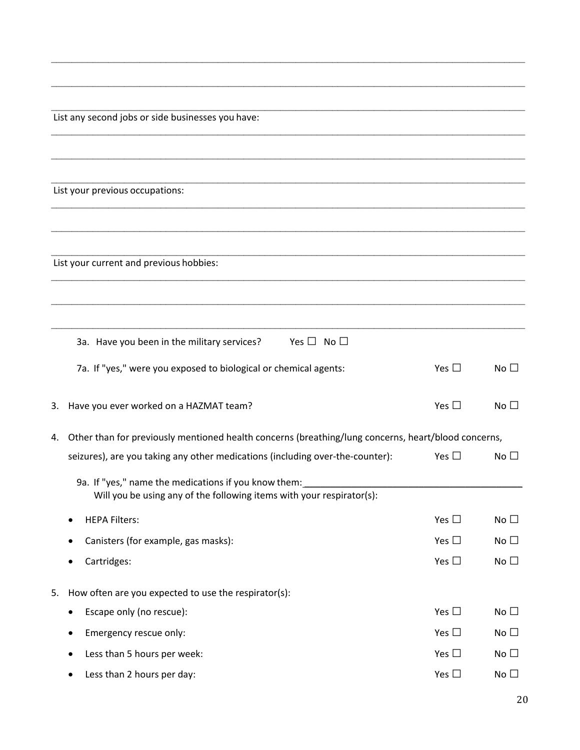List any second jobs or side businesses you have:

List your previous occupations:

List your current and previous hobbies:

|    | 3a. Have you been in the military services?<br>Yes $\Box$ No $\Box$                                                           |               |                 |  |  |
|----|-------------------------------------------------------------------------------------------------------------------------------|---------------|-----------------|--|--|
|    | 7a. If "yes," were you exposed to biological or chemical agents:                                                              | Yes $\square$ | No $\square$    |  |  |
| 3. | Have you ever worked on a HAZMAT team?                                                                                        | Yes $\square$ | No $\square$    |  |  |
| 4. | Other than for previously mentioned health concerns (breathing/lung concerns, heart/blood concerns,                           |               |                 |  |  |
|    | seizures), are you taking any other medications (including over-the-counter):                                                 | Yes $\square$ | No $\square$    |  |  |
|    | 9a. If "yes," name the medications if you know them:<br>Will you be using any of the following items with your respirator(s): |               |                 |  |  |
|    | <b>HEPA Filters:</b>                                                                                                          | Yes $\square$ | No $\square$    |  |  |
|    | Canisters (for example, gas masks):                                                                                           | Yes $\square$ | No $\square$    |  |  |
|    | Cartridges:                                                                                                                   | Yes $\square$ | No $\square$    |  |  |
| 5. | How often are you expected to use the respirator(s):                                                                          |               |                 |  |  |
|    | Escape only (no rescue):                                                                                                      | Yes $\Box$    | No $\square$    |  |  |
|    | Emergency rescue only:                                                                                                        | Yes $\square$ | No $\square$    |  |  |
|    | Less than 5 hours per week:                                                                                                   | Yes $\square$ | No $\square$    |  |  |
|    | Less than 2 hours per day:                                                                                                    | Yes $\Box$    | No <sub>1</sub> |  |  |

 $\mathcal{L}_\mathcal{L} = \mathcal{L}_\mathcal{L} = \mathcal{L}_\mathcal{L} = \mathcal{L}_\mathcal{L} = \mathcal{L}_\mathcal{L} = \mathcal{L}_\mathcal{L} = \mathcal{L}_\mathcal{L} = \mathcal{L}_\mathcal{L} = \mathcal{L}_\mathcal{L} = \mathcal{L}_\mathcal{L} = \mathcal{L}_\mathcal{L} = \mathcal{L}_\mathcal{L} = \mathcal{L}_\mathcal{L} = \mathcal{L}_\mathcal{L} = \mathcal{L}_\mathcal{L} = \mathcal{L}_\mathcal{L} = \mathcal{L}_\mathcal{L}$ 

 $\mathcal{L}_\mathcal{L} = \mathcal{L}_\mathcal{L} = \mathcal{L}_\mathcal{L} = \mathcal{L}_\mathcal{L} = \mathcal{L}_\mathcal{L} = \mathcal{L}_\mathcal{L} = \mathcal{L}_\mathcal{L} = \mathcal{L}_\mathcal{L} = \mathcal{L}_\mathcal{L} = \mathcal{L}_\mathcal{L} = \mathcal{L}_\mathcal{L} = \mathcal{L}_\mathcal{L} = \mathcal{L}_\mathcal{L} = \mathcal{L}_\mathcal{L} = \mathcal{L}_\mathcal{L} = \mathcal{L}_\mathcal{L} = \mathcal{L}_\mathcal{L}$ 

 $\mathcal{L}_\mathcal{L} = \mathcal{L}_\mathcal{L} = \mathcal{L}_\mathcal{L} = \mathcal{L}_\mathcal{L} = \mathcal{L}_\mathcal{L} = \mathcal{L}_\mathcal{L} = \mathcal{L}_\mathcal{L} = \mathcal{L}_\mathcal{L} = \mathcal{L}_\mathcal{L} = \mathcal{L}_\mathcal{L} = \mathcal{L}_\mathcal{L} = \mathcal{L}_\mathcal{L} = \mathcal{L}_\mathcal{L} = \mathcal{L}_\mathcal{L} = \mathcal{L}_\mathcal{L} = \mathcal{L}_\mathcal{L} = \mathcal{L}_\mathcal{L}$ 

 $\mathcal{L}_\mathcal{L} = \mathcal{L}_\mathcal{L} = \mathcal{L}_\mathcal{L} = \mathcal{L}_\mathcal{L} = \mathcal{L}_\mathcal{L} = \mathcal{L}_\mathcal{L} = \mathcal{L}_\mathcal{L} = \mathcal{L}_\mathcal{L} = \mathcal{L}_\mathcal{L} = \mathcal{L}_\mathcal{L} = \mathcal{L}_\mathcal{L} = \mathcal{L}_\mathcal{L} = \mathcal{L}_\mathcal{L} = \mathcal{L}_\mathcal{L} = \mathcal{L}_\mathcal{L} = \mathcal{L}_\mathcal{L} = \mathcal{L}_\mathcal{L}$ 

 $\mathcal{L}_\mathcal{L} = \mathcal{L}_\mathcal{L} = \mathcal{L}_\mathcal{L} = \mathcal{L}_\mathcal{L} = \mathcal{L}_\mathcal{L} = \mathcal{L}_\mathcal{L} = \mathcal{L}_\mathcal{L} = \mathcal{L}_\mathcal{L} = \mathcal{L}_\mathcal{L} = \mathcal{L}_\mathcal{L} = \mathcal{L}_\mathcal{L} = \mathcal{L}_\mathcal{L} = \mathcal{L}_\mathcal{L} = \mathcal{L}_\mathcal{L} = \mathcal{L}_\mathcal{L} = \mathcal{L}_\mathcal{L} = \mathcal{L}_\mathcal{L}$ 

 $\mathcal{L}_\mathcal{L} = \mathcal{L}_\mathcal{L} = \mathcal{L}_\mathcal{L} = \mathcal{L}_\mathcal{L} = \mathcal{L}_\mathcal{L} = \mathcal{L}_\mathcal{L} = \mathcal{L}_\mathcal{L} = \mathcal{L}_\mathcal{L} = \mathcal{L}_\mathcal{L} = \mathcal{L}_\mathcal{L} = \mathcal{L}_\mathcal{L} = \mathcal{L}_\mathcal{L} = \mathcal{L}_\mathcal{L} = \mathcal{L}_\mathcal{L} = \mathcal{L}_\mathcal{L} = \mathcal{L}_\mathcal{L} = \mathcal{L}_\mathcal{L}$ 

 $\mathcal{L}_\mathcal{L} = \mathcal{L}_\mathcal{L} = \mathcal{L}_\mathcal{L} = \mathcal{L}_\mathcal{L} = \mathcal{L}_\mathcal{L} = \mathcal{L}_\mathcal{L} = \mathcal{L}_\mathcal{L} = \mathcal{L}_\mathcal{L} = \mathcal{L}_\mathcal{L} = \mathcal{L}_\mathcal{L} = \mathcal{L}_\mathcal{L} = \mathcal{L}_\mathcal{L} = \mathcal{L}_\mathcal{L} = \mathcal{L}_\mathcal{L} = \mathcal{L}_\mathcal{L} = \mathcal{L}_\mathcal{L} = \mathcal{L}_\mathcal{L}$ 

 $\mathcal{L}_\mathcal{L} = \mathcal{L}_\mathcal{L} = \mathcal{L}_\mathcal{L} = \mathcal{L}_\mathcal{L} = \mathcal{L}_\mathcal{L} = \mathcal{L}_\mathcal{L} = \mathcal{L}_\mathcal{L} = \mathcal{L}_\mathcal{L} = \mathcal{L}_\mathcal{L} = \mathcal{L}_\mathcal{L} = \mathcal{L}_\mathcal{L} = \mathcal{L}_\mathcal{L} = \mathcal{L}_\mathcal{L} = \mathcal{L}_\mathcal{L} = \mathcal{L}_\mathcal{L} = \mathcal{L}_\mathcal{L} = \mathcal{L}_\mathcal{L}$ 

 $\mathcal{L}_\mathcal{L} = \mathcal{L}_\mathcal{L} = \mathcal{L}_\mathcal{L} = \mathcal{L}_\mathcal{L} = \mathcal{L}_\mathcal{L} = \mathcal{L}_\mathcal{L} = \mathcal{L}_\mathcal{L} = \mathcal{L}_\mathcal{L} = \mathcal{L}_\mathcal{L} = \mathcal{L}_\mathcal{L} = \mathcal{L}_\mathcal{L} = \mathcal{L}_\mathcal{L} = \mathcal{L}_\mathcal{L} = \mathcal{L}_\mathcal{L} = \mathcal{L}_\mathcal{L} = \mathcal{L}_\mathcal{L} = \mathcal{L}_\mathcal{L}$ 

\_\_\_\_\_\_\_\_\_\_\_\_\_\_\_\_\_\_\_\_\_\_\_\_\_\_\_\_\_\_\_\_\_\_\_\_\_\_\_\_\_\_\_\_\_\_\_\_\_\_\_\_\_\_\_\_\_\_\_\_\_\_\_\_\_\_\_\_\_\_\_\_\_\_\_\_\_\_\_\_\_\_\_\_\_\_\_\_\_\_\_

 $\mathcal{L}_\mathcal{L} = \mathcal{L}_\mathcal{L} = \mathcal{L}_\mathcal{L} = \mathcal{L}_\mathcal{L} = \mathcal{L}_\mathcal{L} = \mathcal{L}_\mathcal{L} = \mathcal{L}_\mathcal{L} = \mathcal{L}_\mathcal{L} = \mathcal{L}_\mathcal{L} = \mathcal{L}_\mathcal{L} = \mathcal{L}_\mathcal{L} = \mathcal{L}_\mathcal{L} = \mathcal{L}_\mathcal{L} = \mathcal{L}_\mathcal{L} = \mathcal{L}_\mathcal{L} = \mathcal{L}_\mathcal{L} = \mathcal{L}_\mathcal{L}$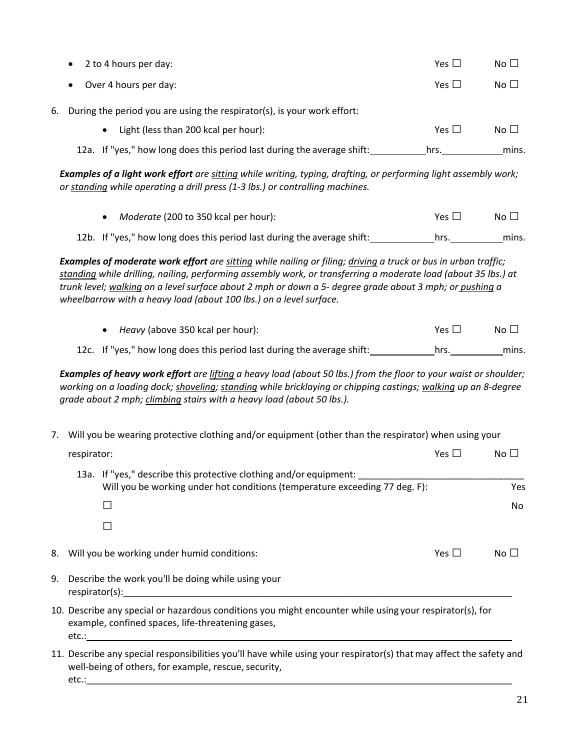|    | 2 to 4 hours per day:                                                                                                                                                                                                                                                                                                                                                                                             | Yes $\square$ | No $\square$ |  |  |  |
|----|-------------------------------------------------------------------------------------------------------------------------------------------------------------------------------------------------------------------------------------------------------------------------------------------------------------------------------------------------------------------------------------------------------------------|---------------|--------------|--|--|--|
|    | Over 4 hours per day:                                                                                                                                                                                                                                                                                                                                                                                             | Yes $\square$ | No $\square$ |  |  |  |
| 6. | During the period you are using the respirator(s), is your work effort:                                                                                                                                                                                                                                                                                                                                           |               |              |  |  |  |
|    | Light (less than 200 kcal per hour):<br>$\bullet$                                                                                                                                                                                                                                                                                                                                                                 | Yes $\square$ | No $\square$ |  |  |  |
|    | 12a. If "yes," how long does this period last during the average shift:                                                                                                                                                                                                                                                                                                                                           | hrs.          | mins.        |  |  |  |
|    | Examples of a light work effort are sitting while writing, typing, drafting, or performing light assembly work;<br>or standing while operating a drill press (1-3 lbs.) or controlling machines.                                                                                                                                                                                                                  |               |              |  |  |  |
|    | Moderate (200 to 350 kcal per hour):                                                                                                                                                                                                                                                                                                                                                                              | Yes $\square$ | No $\square$ |  |  |  |
|    | 12b. If "yes," how long does this period last during the average shift:                                                                                                                                                                                                                                                                                                                                           | hrs.          | mins.        |  |  |  |
|    | Examples of moderate work effort are sitting while nailing or filing; driving a truck or bus in urban traffic;<br>standing while drilling, nailing, performing assembly work, or transferring a moderate load (about 35 lbs.) at<br>trunk level; walking on a level surface about 2 mph or down a 5- degree grade about 3 mph; or pushing a<br>wheelbarrow with a heavy load (about 100 lbs.) on a level surface. |               |              |  |  |  |
|    | Heavy (above 350 kcal per hour):                                                                                                                                                                                                                                                                                                                                                                                  | Yes $\square$ | No $\square$ |  |  |  |
|    | 12c. If "yes," how long does this period last during the average shift:                                                                                                                                                                                                                                                                                                                                           | hrs.          | mins.        |  |  |  |
|    | Examples of heavy work effort are lifting a heavy load (about 50 lbs.) from the floor to your waist or shoulder;<br>working on a loading dock; shoveling; standing while bricklaying or chipping castings; walking up an 8-degree<br>grade about 2 mph; climbing stairs with a heavy load (about 50 lbs.).                                                                                                        |               |              |  |  |  |
| 7. | Will you be wearing protective clothing and/or equipment (other than the respirator) when using your                                                                                                                                                                                                                                                                                                              |               |              |  |  |  |
|    | respirator:                                                                                                                                                                                                                                                                                                                                                                                                       | Yes $\square$ | No $\square$ |  |  |  |
|    | 13a. If "yes," describe this protective clothing and/or equipment:<br>Will you be working under hot conditions (temperature exceeding 77 deg. F):                                                                                                                                                                                                                                                                 |               | Yes          |  |  |  |
|    | ⊔                                                                                                                                                                                                                                                                                                                                                                                                                 |               | No           |  |  |  |
|    |                                                                                                                                                                                                                                                                                                                                                                                                                   |               |              |  |  |  |
| 8. | Will you be working under humid conditions:                                                                                                                                                                                                                                                                                                                                                                       | Yes $\square$ | No $\square$ |  |  |  |
| 9. | Describe the work you'll be doing while using your                                                                                                                                                                                                                                                                                                                                                                |               |              |  |  |  |
|    | 10. Describe any special or hazardous conditions you might encounter while using your respirator(s), for<br>example, confined spaces, life-threatening gases,                                                                                                                                                                                                                                                     |               |              |  |  |  |
|    | 11. Describe any special responsibilities you'll have while using your respirator(s) that may affect the safety and<br>well-being of others, for example, rescue, security,                                                                                                                                                                                                                                       |               |              |  |  |  |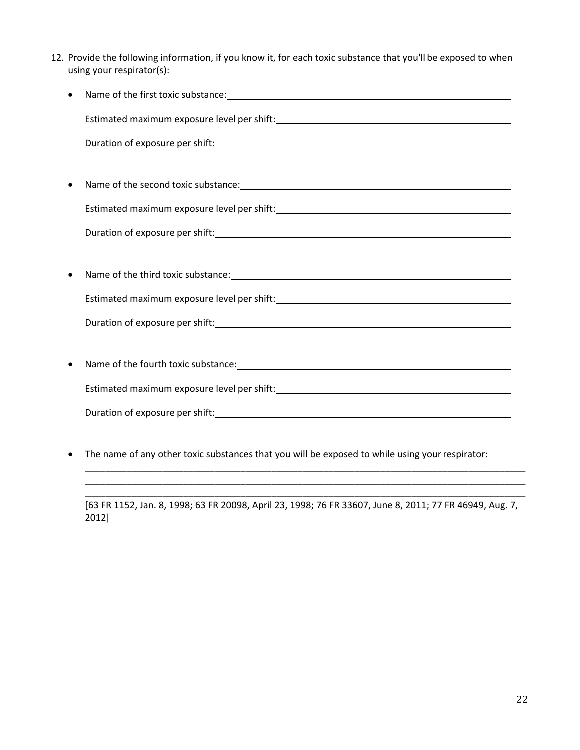12. Provide the following information, if you know it, for each toxic substance that you'll be exposed to when using your respirator(s):

|           | Duration of exposure per shift: 1999 and 2009 and 2009 and 2009 and 2009 and 2009 and 2009 and 2009 and 2009 and 2009 and 2009 and 2009 and 2009 and 2009 and 2009 and 2009 and 2009 and 2009 and 2009 and 2009 and 2009 and 2 |  |  |  |
|-----------|--------------------------------------------------------------------------------------------------------------------------------------------------------------------------------------------------------------------------------|--|--|--|
|           |                                                                                                                                                                                                                                |  |  |  |
|           | Name of the second toxic substance: Manual Community of the second toxic substance:                                                                                                                                            |  |  |  |
|           |                                                                                                                                                                                                                                |  |  |  |
|           | Duration of exposure per shift: Note and the set of the set of the set of the set of the set of the set of the                                                                                                                 |  |  |  |
|           |                                                                                                                                                                                                                                |  |  |  |
| $\bullet$ |                                                                                                                                                                                                                                |  |  |  |
|           |                                                                                                                                                                                                                                |  |  |  |
|           |                                                                                                                                                                                                                                |  |  |  |
|           |                                                                                                                                                                                                                                |  |  |  |
|           |                                                                                                                                                                                                                                |  |  |  |
|           |                                                                                                                                                                                                                                |  |  |  |
|           |                                                                                                                                                                                                                                |  |  |  |
|           |                                                                                                                                                                                                                                |  |  |  |

• The name of any other toxic substances that you will be exposed to while using yourrespirator:

\_\_\_\_\_\_\_\_\_\_\_\_\_\_\_\_\_\_\_\_\_\_\_\_\_\_\_\_\_\_\_\_\_\_\_\_\_\_\_\_\_\_\_\_\_\_\_\_\_\_\_\_\_\_\_\_\_\_\_\_\_\_\_\_\_\_\_\_\_\_\_\_\_\_\_\_\_\_\_\_\_\_\_\_\_

[63 FR 1152, Jan. 8, 1998; 63 FR 20098, April 23, 1998; 76 FR 33607, June 8, 2011; 77 FR 46949, Aug. 7, 2012]

\_\_\_\_\_\_\_\_\_\_\_\_\_\_\_\_\_\_\_\_\_\_\_\_\_\_\_\_\_\_\_\_\_\_\_\_\_\_\_\_\_\_\_\_\_\_\_\_\_\_\_\_\_\_\_\_\_\_\_\_\_\_\_\_\_\_\_\_\_\_\_\_\_\_\_\_\_\_\_\_\_\_\_\_\_ \_\_\_\_\_\_\_\_\_\_\_\_\_\_\_\_\_\_\_\_\_\_\_\_\_\_\_\_\_\_\_\_\_\_\_\_\_\_\_\_\_\_\_\_\_\_\_\_\_\_\_\_\_\_\_\_\_\_\_\_\_\_\_\_\_\_\_\_\_\_\_\_\_\_\_\_\_\_\_\_\_\_\_\_\_